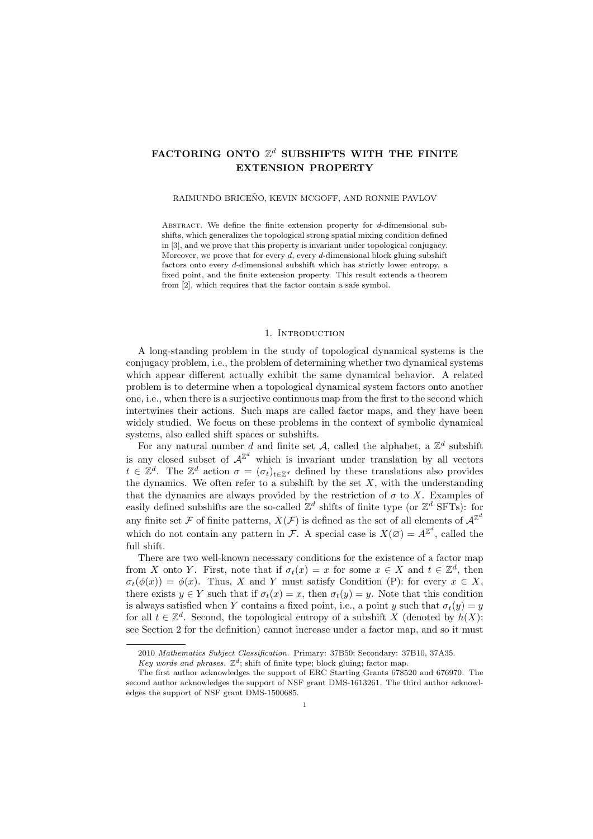# FACTORING ONTO  $\mathbb{Z}^d$  SUBSHIFTS WITH THE FINITE **EXTENSION PROPERTY**

#### RAIMUNDO BRICEÑO, KEVIN MCGOFF, AND RONNIE PAVLOV

Abstract. We define the finite extension property for *d*-dimensional subshifts, which generalizes the topological strong spatial mixing condition defined in [3], and we prove that this property is invariant under topological conjugacy. Moreover, we prove that for every *d*, every *d*-dimensional block gluing subshift factors onto every *d*-dimensional subshift which has strictly lower entropy, a fixed point, and the finite extension property. This result extends a theorem from [2], which requires that the factor contain a safe symbol.

## 1. Introduction

A long-standing problem in the study of topological dynamical systems is the conjugacy problem, i.e., the problem of determining whether two dynamical systems which appear different actually exhibit the same dynamical behavior. A related problem is to determine when a topological dynamical system factors onto another one, i.e., when there is a surjective continuous map from the first to the second which intertwines their actions. Such maps are called factor maps, and they have been widely studied. We focus on these problems in the context of symbolic dynamical systems, also called shift spaces or subshifts.

For any natural number  $d$  and finite set  $\mathcal{A}$ , called the alphabet, a  $\mathbb{Z}^d$  subshift is any closed subset of  $A^{\mathbb{Z}^d}$  which is invariant under translation by all vectors  $t \in \mathbb{Z}^d$ . The  $\mathbb{Z}^d$  action  $\sigma = (\sigma_t)_{t \in \mathbb{Z}^d}$  defined by these translations also provides the dynamics. We often refer to a subshift by the set  $X$ , with the understanding that the dynamics are always provided by the restriction of  $\sigma$  to X. Examples of easily defined subshifts are the so-called  $\mathbb{Z}^d$  shifts of finite type (or  $\mathbb{Z}^d$  SFTs): for any finite set  $\mathcal F$  of finite patterns,  $X(\mathcal F)$  is defined as the set of all elements of  $\mathcal A^{\mathbb Z^d}$ which do not contain any pattern in *F*. A special case is  $X(\emptyset) = A^{\mathbb{Z}^d}$ , called the full shift.

There are two well-known necessary conditions for the existence of a factor map from *X* onto *Y*. First, note that if  $\sigma_t(x) = x$  for some  $x \in X$  and  $t \in \mathbb{Z}^d$ , then  $\sigma_t(\phi(x)) = \phi(x)$ . Thus, *X* and *Y* must satisfy Condition (P): for every  $x \in X$ , there exists  $y \in Y$  such that if  $\sigma_t(x) = x$ , then  $\sigma_t(y) = y$ . Note that this condition is always satisfied when *Y* contains a fixed point, i.e., a point *y* such that  $\sigma_t(y) = y$ for all  $t \in \mathbb{Z}^d$ . Second, the topological entropy of a subshift *X* (denoted by  $h(X)$ ; see Section 2 for the definition) cannot increase under a factor map, and so it must

<sup>2010</sup> *Mathematics Subject Classification.* Primary: 37B50; Secondary: 37B10, 37A35.

Key words and phrases.  $\mathbb{Z}^d$ ; shift of finite type; block gluing; factor map.

The first author acknowledges the support of ERC Starting Grants 678520 and 676970. The second author acknowledges the support of NSF grant DMS-1613261. The third author acknowledges the support of NSF grant DMS-1500685.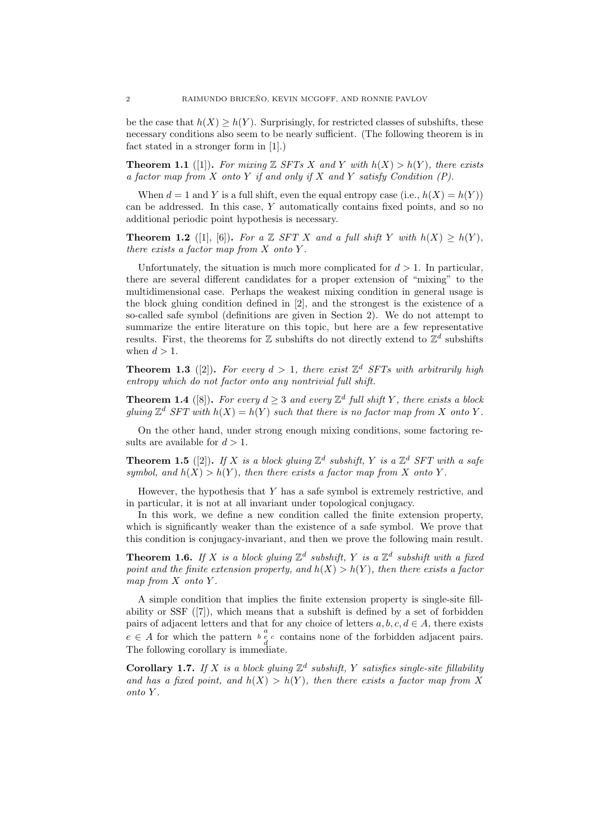be the case that  $h(X) \geq h(Y)$ . Surprisingly, for restricted classes of subshifts, these necessary conditions also seem to be nearly sufficient. (The following theorem is in fact stated in a stronger form in [1].)

**Theorem 1.1** ([1]). For mixing  $\mathbb{Z}$  *SFTs X* and *Y* with  $h(X) > h(Y)$ , there exists *a factor map from X onto Y if and only if X and Y satisfy Condition (P).*

When  $d = 1$  and *Y* is a full shift, even the equal entropy case (i.e.,  $h(X) = h(Y)$ ) can be addressed. In this case, *Y* automatically contains fixed points, and so no additional periodic point hypothesis is necessary.

**Theorem 1.2** ([1], [6]). For a  $\mathbb{Z}$  *SFT*  $X$  *and a full shift*  $Y$  *with*  $h(X) \ge h(Y)$ . *there exists a factor map from X onto Y .*

Unfortunately, the situation is much more complicated for  $d > 1$ . In particular, there are several different candidates for a proper extension of "mixing" to the multidimensional case. Perhaps the weakest mixing condition in general usage is the block gluing condition defined in [2], and the strongest is the existence of a so-called safe symbol (definitions are given in Section 2). We do not attempt to summarize the entire literature on this topic, but here are a few representative results. First, the theorems for  $\mathbb Z$  subshifts do not directly extend to  $\mathbb Z^d$  subshifts when  $d > 1$ .

**Theorem 1.3** ([2]). For every  $d > 1$ , there exist  $\mathbb{Z}^d$  SFTs with arbitrarily high *entropy which do not factor onto any nontrivial full shift.*

**Theorem 1.4** ([8]). For every  $d \geq 3$  and every  $\mathbb{Z}^d$  full shift Y, there exists a block *gluing*  $\mathbb{Z}^d$  *SFT* with  $h(X) = h(Y)$  *such that there is no factor map from X onto Y*.

On the other hand, under strong enough mixing conditions, some factoring results are available for  $d > 1$ .

**Theorem 1.5** ([2]). If *X* is a block gluing  $\mathbb{Z}^d$  subshift, *Y* is a  $\mathbb{Z}^d$  SFT with a safe *symbol, and*  $h(X) > h(Y)$ *, then there exists a factor map from* X *onto* Y.

However, the hypothesis that *Y* has a safe symbol is extremely restrictive, and in particular, it is not at all invariant under topological conjugacy.

In this work, we define a new condition called the finite extension property, which is significantly weaker than the existence of a safe symbol. We prove that this condition is conjugacy-invariant, and then we prove the following main result.

**Theorem 1.6.** If X is a block gluing  $\mathbb{Z}^d$  subshift, Y is a  $\mathbb{Z}^d$  subshift with a fixed *point and the finite extension property, and*  $h(X) > h(Y)$ *, then there exists a factor map from X onto Y .*

A simple condition that implies the finite extension property is single-site fillability or SSF ([7]), which means that a subshift is defined by a set of forbidden pairs of adjacent letters and that for any choice of letters  $a, b, c, d \in A$ , there exists  $e \in A$  for which the pattern  $e^a_{d}$  *c* contains none of the forbidden adjacent pairs. The following corollary is immediate.

**Corollary 1.7.** If *X* is a block gluing  $\mathbb{Z}^d$  subshift, *Y* satisfies single-site fillability and has a fixed point, and  $h(X) > h(Y)$ , then there exists a factor map from X *onto Y .*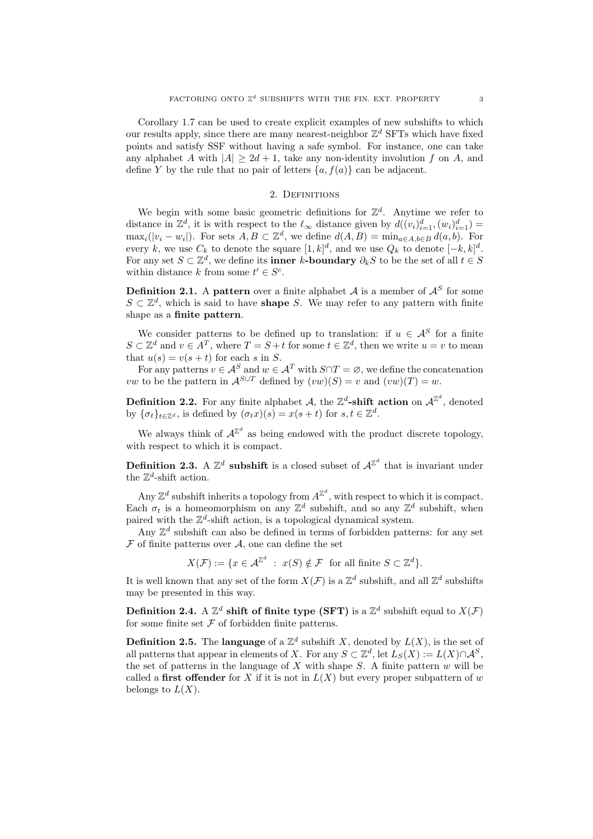Corollary 1.7 can be used to create explicit examples of new subshifts to which our results apply, since there are many nearest-neighbor  $\mathbb{Z}^d$  SFTs which have fixed points and satisfy SSF without having a safe symbol. For instance, one can take any alphabet *A* with  $|A| \geq 2d + 1$ , take any non-identity involution *f* on *A*, and define *Y* by the rule that no pair of letters  $\{a, f(a)\}\$ can be adjacent.

#### 2. DEFINITIONS

We begin with some basic geometric definitions for  $\mathbb{Z}^d$ . Anytime we refer to distance in  $\mathbb{Z}^d$ , it is with respect to the  $\ell_{\infty}$  distance given by  $d((v_i)_{i=1}^d, (w_i)_{i=1}^d)$  $\max_i(|v_i - w_i|)$ . For sets  $A, B \subset \mathbb{Z}^d$ , we define  $d(A, B) = \min_{a \in A, b \in B} d(a, b)$ . For every *k*, we use  $C_k$  to denote the square  $[1, k]^d$ , and we use  $Q_k$  to denote  $[-k, k]^d$ . For any set  $S \subset \mathbb{Z}^d$ , we define its **inner** *k***-boundary**  $\partial_k S$  to be the set of all  $t \in S$ within distance *k* from some  $t' \in S^c$ .

**Definition 2.1.** A **pattern** over a finite alphabet *A* is a member of  $A^S$  for some *S*  $\subset \mathbb{Z}^d$ , which is said to have **shape** *S*. We may refer to any pattern with finite shape as a **finite pattern**.

We consider patterns to be defined up to translation: if  $u \in A^S$  for a finite  $S \subset \mathbb{Z}^d$  and  $v \in A^T$ , where  $T = S + t$  for some  $t \in \mathbb{Z}^d$ , then we write  $u = v$  to mean that  $u(s) = v(s + t)$  for each *s* in *S*.

For any patterns  $v \in A^S$  and  $w \in A^T$  with  $S \cap T = \emptyset$ , we define the concatenation *vw* to be the pattern in  $\mathcal{A}^{S \cup T}$  defined by  $(vw)(S) = v$  and  $(vw)(T) = w$ .

**Definition 2.2.** For any finite alphabet *A*, the  $\mathbb{Z}^d$ -shift action on  $\mathcal{A}^{\mathbb{Z}^d}$ , denoted by  ${\{\sigma_t\}}_{t \in \mathbb{Z}^d}$ , is defined by  $(\sigma_t x)(s) = x(s+t)$  for  $s, t \in \mathbb{Z}^d$ .

We always think of  $A^{\mathbb{Z}^d}$  as being endowed with the product discrete topology, with respect to which it is compact.

**Definition 2.3.** A  $\mathbb{Z}^d$  subshift is a closed subset of  $\mathcal{A}^{\mathbb{Z}^d}$  that is invariant under the  $\mathbb{Z}^d$ -shift action.

Any  $\mathbb{Z}^d$  subshift inherits a topology from  $A^{\mathbb{Z}^d}$ , with respect to which it is compact. Each  $\sigma_t$  is a homeomorphism on any  $\mathbb{Z}^d$  subshift, and so any  $\mathbb{Z}^d$  subshift, when paired with the  $\mathbb{Z}^d$ -shift action, is a topological dynamical system.

Any  $\mathbb{Z}^d$  subshift can also be defined in terms of forbidden patterns: for any set *F* of finite patterns over *A*, one can define the set

$$
X(\mathcal{F}) := \{ x \in \mathcal{A}^{\mathbb{Z}^d} \ : \ x(S) \notin \mathcal{F} \text{ for all finite } S \subset \mathbb{Z}^d \}.
$$

It is well known that any set of the form  $X(\mathcal{F})$  is a  $\mathbb{Z}^d$  subshift, and all  $\mathbb{Z}^d$  subshifts may be presented in this way.

**Definition 2.4.** A  $\mathbb{Z}^d$  shift of finite type (SFT) is a  $\mathbb{Z}^d$  subshift equal to  $X(\mathcal{F})$ for some finite set  $F$  of forbidden finite patterns.

**Definition 2.5.** The **language** of a  $\mathbb{Z}^d$  subshift *X*, denoted by  $L(X)$ , is the set of all patterns that appear in elements of *X*. For any  $S \subset \mathbb{Z}^d$ , let  $L_S(X) := L(X) \cap \mathcal{A}^S$ , the set of patterns in the language of *X* with shape *S*. A finite pattern *w* will be called a **first offender** for *X* if it is not in  $L(X)$  but every proper subpattern of *w* belongs to  $L(X)$ .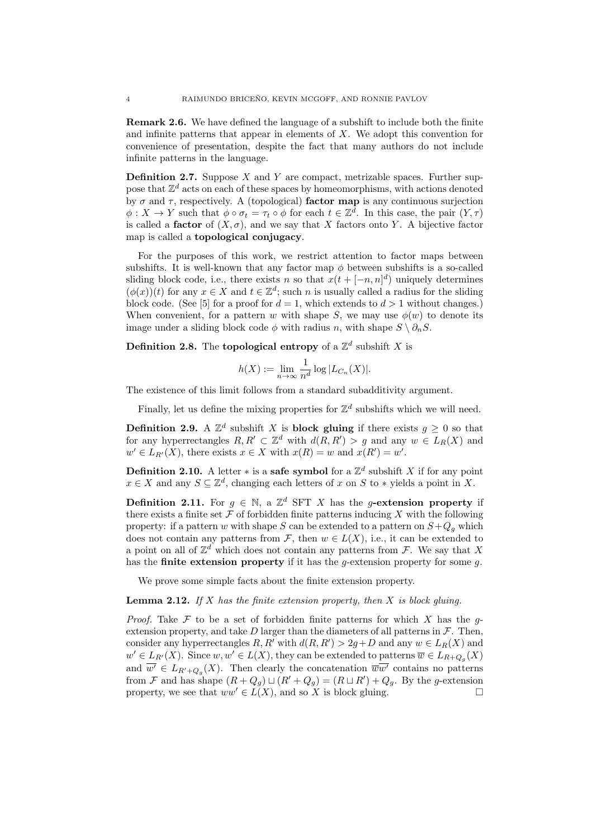**Remark 2.6.** We have defined the language of a subshift to include both the finite and infinite patterns that appear in elements of *X*. We adopt this convention for convenience of presentation, despite the fact that many authors do not include infinite patterns in the language.

**Definition 2.7.** Suppose *X* and *Y* are compact, metrizable spaces. Further suppose that  $\mathbb{Z}^d$  acts on each of these spaces by homeomorphisms, with actions denoted by *σ* and *τ* , respectively. A (topological) **factor map** is any continuous surjection  $\phi: X \to Y$  such that  $\phi \circ \sigma_t = \tau_t \circ \phi$  for each  $t \in \mathbb{Z}^d$ . In this case, the pair  $(Y, \tau)$ is called a **factor** of  $(X, \sigma)$ , and we say that *X* factors onto *Y*. A bijective factor map is called a **topological conjugacy**.

For the purposes of this work, we restrict attention to factor maps between subshifts. It is well-known that any factor map  $\phi$  between subshifts is a so-called sliding block code, i.e., there exists *n* so that  $x(t + [-n, n]^d)$  uniquely determines  $(\phi(x))(t)$  for any  $x \in X$  and  $t \in \mathbb{Z}^d$ ; such *n* is usually called a radius for the sliding block code. (See [5] for a proof for  $d = 1$ , which extends to  $d > 1$  without changes.) When convenient, for a pattern *w* with shape *S*, we may use  $\phi(w)$  to denote its image under a sliding block code  $\phi$  with radius *n*, with shape  $S \setminus \partial_n S$ .

**Definition 2.8.** The **topological entropy** of a  $\mathbb{Z}^d$  subshift X is

$$
h(X) := \lim_{n \to \infty} \frac{1}{n^d} \log |L_{C_n}(X)|.
$$

The existence of this limit follows from a standard subadditivity argument.

Finally, let us define the mixing properties for  $\mathbb{Z}^d$  subshifts which we will need.

**Definition 2.9.** A  $\mathbb{Z}^d$  subshift *X* is **block gluing** if there exists  $g \geq 0$  so that for any hyperrectangles  $R, R' \subset \mathbb{Z}^d$  with  $d(R, R') > g$  and any  $w \in L_R(X)$  and  $w' \in L_{R'}(X)$ , there exists  $x \in X$  with  $x(R) = w$  and  $x(R') = w'$ .

**Definition 2.10.** A letter  $*$  is a **safe symbol** for a  $\mathbb{Z}^d$  subshift *X* if for any point  $x \in X$  and any  $S \subseteq \mathbb{Z}^d$ , changing each letters of *x* on *S* to *\** yields a point in *X*.

**Definition 2.11.** For  $g \in \mathbb{N}$ , a  $\mathbb{Z}^d$  SFT X has the *g*-extension property if there exists a finite set  $\mathcal F$  of forbidden finite patterns inducing  $X$  with the following property: if a pattern *w* with shape *S* can be extended to a pattern on  $S+Q_q$  which does not contain any patterns from  $\mathcal{F}$ , then  $w \in L(X)$ , i.e., it can be extended to a point on all of Z *<sup>d</sup>* which does not contain any patterns from *F*. We say that *X* has the **finite extension property** if it has the *g*-extension property for some *g*.

We prove some simple facts about the finite extension property.

**Lemma 2.12.** *If X has the finite extension property, then X is block gluing.*

*Proof.* Take *F* to be a set of forbidden finite patterns for which *X* has the *g*extension property, and take  $D$  larger than the diameters of all patterns in  $\mathcal{F}$ . Then, consider any hyperrectangles  $R, R'$  with  $d(R, R') > 2g + D$  and any  $w \in L_R(X)$  and  $w' \in L_{R'}(X)$ . Since  $w, w' \in L(X)$ , they can be extended to patterns  $\overline{w} \in L_{R+Q_g}(X)$ and  $w' \in L_{R'+Q_g}(X)$ . Then clearly the concatenation  $\overline{w}w'$  contains no patterns from *F* and has shape  $(R + Q_g) \sqcup (R' + Q_g) = (R \sqcup R') + Q_g$ . By the *g*-extension property, we see that  $ww' \in L(X)$ , and so X is block gluing.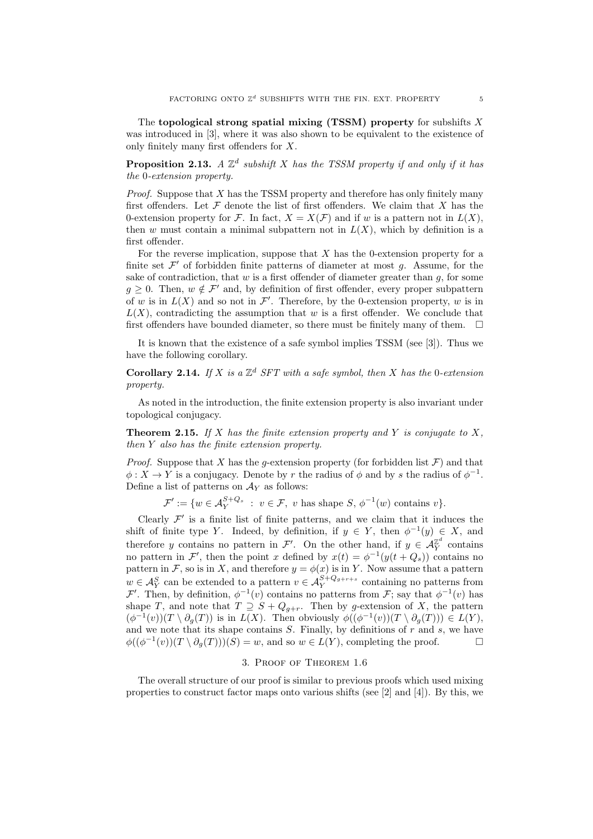The **topological strong spatial mixing (TSSM) property** for subshifts *X* was introduced in [3], where it was also shown to be equivalent to the existence of only finitely many first offenders for *X*.

**Proposition 2.13.**  $A \mathbb{Z}^d$  subshift  $X$  has the TSSM property if and only if it has *the* 0*-extension property.*

*Proof.* Suppose that *X* has the TSSM property and therefore has only finitely many first offenders. Let  $\mathcal F$  denote the list of first offenders. We claim that  $X$  has the 0-extension property for *F*. In fact,  $X = X(F)$  and if *w* is a pattern not in  $L(X)$ , then *w* must contain a minimal subpattern not in  $L(X)$ , which by definition is a first offender.

For the reverse implication, suppose that *X* has the 0-extension property for a finite set  $\mathcal{F}'$  of forbidden finite patterns of diameter at most  $g$ . Assume, for the sake of contradiction, that *w* is a first offender of diameter greater than *g*, for some  $g \geq 0$ . Then,  $w \notin \mathcal{F}'$  and, by definition of first offender, every proper subpattern of *w* is in  $L(X)$  and so not in  $\mathcal{F}'$ . Therefore, by the 0-extension property, *w* is in  $L(X)$ , contradicting the assumption that *w* is a first offender. We conclude that first offenders have bounded diameter, so there must be finitely many of them.  $\Box$ 

It is known that the existence of a safe symbol implies TSSM (see [3]). Thus we have the following corollary.

**Corollary 2.14.** If  $X$  is a  $\mathbb{Z}^d$  SFT with a safe symbol, then  $X$  has the 0-extension *property.*

As noted in the introduction, the finite extension property is also invariant under topological conjugacy.

**Theorem 2.15.** *If X has the finite extension property and Y is conjugate to X, then Y also has the finite extension property.*

*Proof.* Suppose that *X* has the *g*-extension property (for forbidden list  $\mathcal{F}$ ) and that  $\phi: X \to Y$  is a conjugacy. Denote by *r* the radius of  $\phi$  and by *s* the radius of  $\phi^{-1}$ . Define a list of patterns on  $A_Y$  as follows:

 $\mathcal{F}' := \{ w \in \mathcal{A}_Y^{S+Q_s} : v \in \mathcal{F}, v \text{ has shape } S, \phi^{-1}(w) \text{ contains } v \}.$ 

Clearly  $\mathcal{F}'$  is a finite list of finite patterns, and we claim that it induces the shift of finite type *Y*. Indeed, by definition, if  $y \in Y$ , then  $\phi^{-1}(y) \in X$ , and therefore *y* contains no pattern in  $\mathcal{F}'$ . On the other hand, if  $y \in \mathcal{A}_Y^{\mathbb{Z}^d}$  contains no pattern in *F*<sup>'</sup>, then the point *x* defined by  $x(t) = \phi^{-1}(y(t+Q_s))$  contains no pattern in *F*, so is in *X*, and therefore  $y = \phi(x)$  is in *Y*. Now assume that a pattern  $w \in A_Y^S$  can be extended to a pattern  $v \in A_Y^{S+Q_{g+r+s}}$  containing no patterns from *F*<sup>*′*</sup>. Then, by definition,  $\phi^{-1}(v)$  contains no patterns from *F*; say that  $\phi^{-1}(v)$  has shape *T*, and note that  $T \supseteq S + Q_{g+r}$ . Then by *g*-extension of *X*, the pattern  $(\phi^{-1}(v))(T \setminus \partial_g(T))$  is in  $L(X)$ . Then obviously  $\phi((\phi^{-1}(v))(T \setminus \partial_g(T))) \in L(Y)$ , and we note that its shape contains *S*. Finally, by definitions of *r* and *s*, we have  $\phi((\phi^{-1}(v))(T \setminus \partial_g(T)))(S) = w$ , and so  $w \in L(Y)$ , completing the proof. □

## 3. Proof of Theorem 1.6

The overall structure of our proof is similar to previous proofs which used mixing properties to construct factor maps onto various shifts (see [2] and [4]). By this, we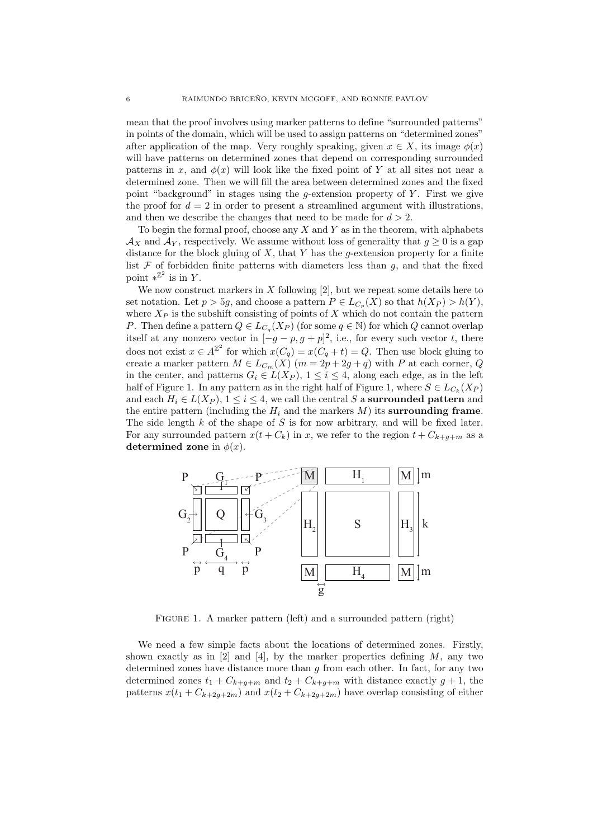mean that the proof involves using marker patterns to define "surrounded patterns" in points of the domain, which will be used to assign patterns on "determined zones" after application of the map. Very roughly speaking, given  $x \in X$ , its image  $\phi(x)$ will have patterns on determined zones that depend on corresponding surrounded patterns in *x*, and  $\phi(x)$  will look like the fixed point of Y at all sites not near a determined zone. Then we will fill the area between determined zones and the fixed point "background" in stages using the *g*-extension property of *Y* . First we give the proof for  $d = 2$  in order to present a streamlined argument with illustrations, and then we describe the changes that need to be made for  $d > 2$ .

To begin the formal proof, choose any *X* and *Y* as in the theorem, with alphabets  $\mathcal{A}_X$  and  $\mathcal{A}_Y$ , respectively. We assume without loss of generality that  $g \geq 0$  is a gap distance for the block gluing of *X*, that *Y* has the *g*-extension property for a finite list  $F$  of forbidden finite patterns with diameters less than  $g$ , and that the fixed point  $*^{\mathbb{Z}^2}$  is in *Y*.

We now construct markers in *X* following [2], but we repeat some details here to set notation. Let  $p > 5g$ , and choose a pattern  $P \in L_{C_p}(X)$  so that  $h(X_P) > h(Y)$ , where  $X_P$  is the subshift consisting of points of  $X$  which do not contain the pattern *P*. Then define a pattern  $Q \in L_{C_q}(X_P)$  (for some  $q \in \mathbb{N}$ ) for which  $Q$  cannot overlap itself at any nonzero vector in  $[-g - p, g + p]^2$ , i.e., for every such vector *t*, there does not exist  $x \in A^{\mathbb{Z}^2}$  for which  $x(C_q) = x(C_q + t) = Q$ . Then use block gluing to create a marker pattern  $M \in L_{C_m}(X)$  ( $m = 2p + 2g + q$ ) with *P* at each corner, *Q* in the center, and patterns *G<sup>i</sup> ∈ L*(*X<sup>P</sup>* ), 1 *≤ i ≤* 4, along each edge, as in the left half of Figure 1. In any pattern as in the right half of Figure 1, where  $S \in L_{C_k}(X_P)$ and each  $H_i \in L(X_P)$ ,  $1 \leq i \leq 4$ , we call the central S a **surrounded pattern** and the entire pattern (including the  $H_i$  and the markers  $M$ ) its **surrounding frame**. The side length *k* of the shape of *S* is for now arbitrary, and will be fixed later. For any surrounded pattern  $x(t + C_k)$  in *x*, we refer to the region  $t + C_{k+a+m}$  as a **determined zone** in  $\phi(x)$ .



FIGURE 1. A marker pattern (left) and a surrounded pattern (right)

We need a few simple facts about the locations of determined zones. Firstly, shown exactly as in [2] and [4], by the marker properties defining *M*, any two determined zones have distance more than *g* from each other. In fact, for any two determined zones  $t_1 + C_{k+g+m}$  and  $t_2 + C_{k+g+m}$  with distance exactly  $g + 1$ , the patterns  $x(t_1 + C_{k+2q+2m})$  and  $x(t_2 + C_{k+2q+2m})$  have overlap consisting of either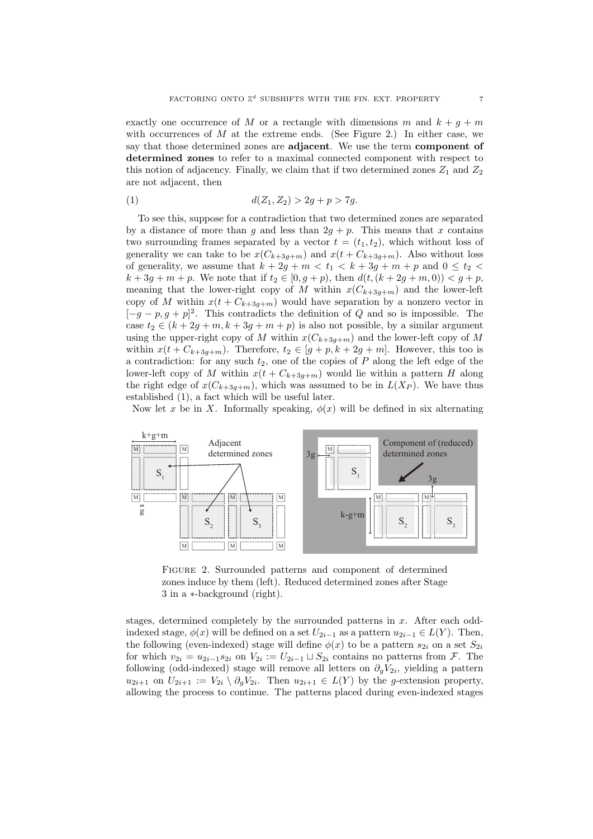exactly one occurrence of M or a rectangle with dimensions m and  $k + q + m$ with occurrences of M at the extreme ends. (See Figure 2.) In either case, we say that those determined zones are **adjacent**. We use the term **component of determined zones** to refer to a maximal connected component with respect to this notion of adjacency. Finally, we claim that if two determined zones  $Z_1$  and  $Z_2$ are not adjacent, then

(1) 
$$
d(Z_1, Z_2) > 2g + p > 7g.
$$

To see this, suppose for a contradiction that two determined zones are separated by a distance of more than *g* and less than  $2g + p$ . This means that *x* contains two surrounding frames separated by a vector  $t = (t_1, t_2)$ , which without loss of generality we can take to be  $x(C_{k+3g+m})$  and  $x(t+C_{k+3g+m})$ . Also without loss of generality, we assume that  $k + 2g + m < t_1 < k + 3g + m + p$  and  $0 \le t_2 <$  $k + 3g + m + p$ . We note that if  $t_2 \in [0, g + p)$ , then  $d(t, (k + 2g + m, 0)) < g + p$ , meaning that the lower-right copy of *M* within  $x(C_{k+3g+m})$  and the lower-left copy of *M* within  $x(t + C_{k+3g+m})$  would have separation by a nonzero vector in [*−g − p, g* + *p*] 2 . This contradicts the definition of *Q* and so is impossible. The case  $t_2 \in (k + 2g + m, k + 3g + m + p)$  is also not possible, by a similar argument using the upper-right copy of *M* within  $x(C_{k+3q+m})$  and the lower-left copy of *M* within  $x(t + C_{k+3g+m})$ . Therefore,  $t_2 \in [g+p, k+2g+m]$ . However, this too is a contradiction: for any such *t*2, one of the copies of *P* along the left edge of the lower-left copy of *M* within  $x(t + C_{k+3g+m})$  would lie within a pattern *H* along the right edge of  $x(C_{k+3g+m})$ , which was assumed to be in  $L(X_P)$ . We have thus established (1), a fact which will be useful later.

Now let *x* be in *X*. Informally speaking,  $\phi(x)$  will be defined in six alternating



Figure 2. Surrounded patterns and component of determined zones induce by them (left). Reduced determined zones after Stage 3 in a *∗*-background (right).

stages, determined completely by the surrounded patterns in *x*. After each oddindexed stage,  $\phi(x)$  will be defined on a set  $U_{2i-1}$  as a pattern  $u_{2i-1} \in L(Y)$ . Then, the following (even-indexed) stage will define  $\phi(x)$  to be a pattern  $s_{2i}$  on a set  $S_{2i}$ for which  $v_{2i} = u_{2i-1} s_{2i}$  on  $V_{2i} := U_{2i-1} \sqcup S_{2i}$  contains no patterns from *F*. The following (odd-indexed) stage will remove all letters on  $\partial_g V_{2i}$ , yielding a pattern  $u_{2i+1}$  on  $U_{2i+1} := V_{2i} \setminus \partial_g V_{2i}$ . Then  $u_{2i+1} \in L(Y)$  by the *g*-extension property, allowing the process to continue. The patterns placed during even-indexed stages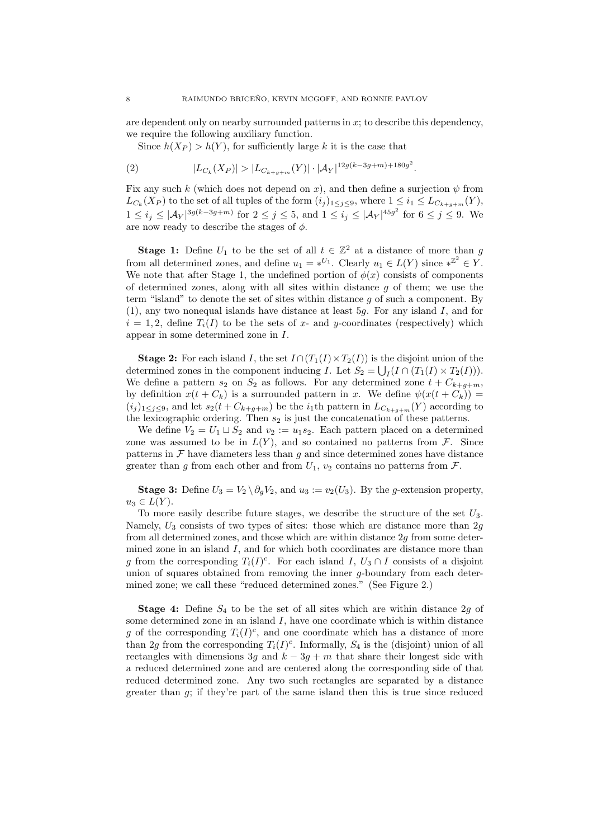are dependent only on nearby surrounded patterns in *x*; to describe this dependency, we require the following auxiliary function.

Since  $h(X_P) > h(Y)$ , for sufficiently large *k* it is the case that

(2) 
$$
|L_{C_k}(X_P)| > |L_{C_{k+g+m}}(Y)| \cdot |\mathcal{A}_Y|^{12g(k-3g+m)+180g^2}.
$$

Fix any such *k* (which does not depend on *x*), and then define a surjection  $\psi$  from  $L_{C_k}(X_P)$  to the set of all tuples of the form  $(i_j)_{1 \leq j \leq 9}$ , where  $1 \leq i_1 \leq L_{C_{k+g+m}}(Y)$ ,  $1 \leq i_j \leq |\mathcal{A}_Y|^{3g(k-3g+m)}$  for  $2 \leq j \leq 5$ , and  $1 \leq i_j \leq |\mathcal{A}_Y|^{45g^2}$  for  $6 \leq j \leq 9$ . We are now ready to describe the stages of *ϕ*.

**Stage 1:** Define  $U_1$  to be the set of all  $t \in \mathbb{Z}^2$  at a distance of more than *g* from all determined zones, and define  $u_1 = *^{U_1}$ . Clearly  $u_1 \in L(Y)$  since  $*^{\mathbb{Z}^2} \in Y$ . We note that after Stage 1, the undefined portion of  $\phi(x)$  consists of components of determined zones, along with all sites within distance *g* of them; we use the term "island" to denote the set of sites within distance *g* of such a component. By (1), any two nonequal islands have distance at least 5*g*. For any island *I*, and for  $i = 1, 2$ , define  $T_i(I)$  to be the sets of x- and y-coordinates (respectively) which appear in some determined zone in *I*.

**Stage 2:** For each island *I*, the set  $I \cap (T_1(I) \times T_2(I))$  is the disjoint union of the determined zones in the component inducing *I*. Let  $S_2 = \bigcup_I (I \cap (T_1(I) \times T_2(I))).$ We define a pattern  $s_2$  on  $S_2$  as follows. For any determined zone  $t + C_{k+g+m}$ , by definition  $x(t + C_k)$  is a surrounded pattern in *x*. We define  $\psi(x(t + C_k))$  =  $(i_j)_{1 \leq j \leq 9}$ , and let  $s_2(t + C_{k+g+m})$  be the *i*<sub>1</sub>th pattern in  $L_{C_{k+g+m}}(Y)$  according to the lexicographic ordering. Then  $s_2$  is just the concatenation of these patterns.

We define  $V_2 = U_1 \sqcup S_2$  and  $v_2 := u_1 s_2$ . Each pattern placed on a determined zone was assumed to be in  $L(Y)$ , and so contained no patterns from  $\mathcal{F}$ . Since patterns in  $\mathcal F$  have diameters less than  $g$  and since determined zones have distance greater than *g* from each other and from  $U_1$ ,  $v_2$  contains no patterns from  $\mathcal{F}$ .

**Stage 3:** Define  $U_3 = V_2 \setminus \partial_q V_2$ , and  $u_3 := v_2(U_3)$ . By the *g*-extension property,  $u_3 \in L(Y)$ .

To more easily describe future stages, we describe the structure of the set *U*3. Namely, *U*<sup>3</sup> consists of two types of sites: those which are distance more than 2*g* from all determined zones, and those which are within distance 2*g* from some determined zone in an island *I*, and for which both coordinates are distance more than *g* from the corresponding  $T_i(I)^c$ . For each island *I*,  $U_3 \cap I$  consists of a disjoint union of squares obtained from removing the inner *g*-boundary from each determined zone; we call these "reduced determined zones." (See Figure 2.)

**Stage 4:** Define *S*<sup>4</sup> to be the set of all sites which are within distance 2*g* of some determined zone in an island *I*, have one coordinate which is within distance *g* of the corresponding  $T_i(I)^c$ , and one coordinate which has a distance of more than 2g from the corresponding  $T_i(I)^c$ . Informally,  $S_4$  is the (disjoint) union of all rectangles with dimensions 3*g* and  $k - 3g + m$  that share their longest side with a reduced determined zone and are centered along the corresponding side of that reduced determined zone. Any two such rectangles are separated by a distance greater than  $g$ ; if they're part of the same island then this is true since reduced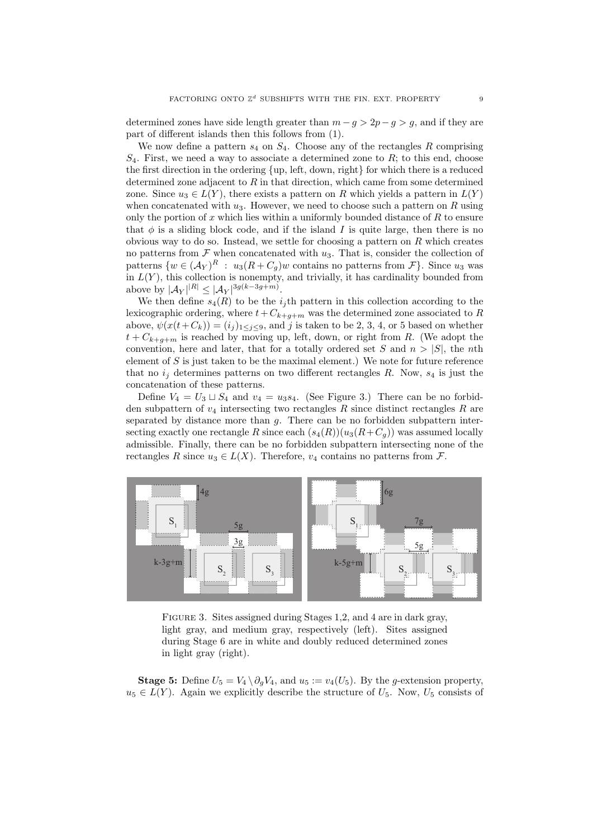determined zones have side length greater than  $m - g > 2p - g > g$ , and if they are part of different islands then this follows from (1).

We now define a pattern  $s_4$  on  $S_4$ . Choose any of the rectangles  $R$  comprising  $S_4$ . First, we need a way to associate a determined zone to  $R$ ; to this end, choose the first direction in the ordering *{*up, left, down, right*}* for which there is a reduced determined zone adjacent to *R* in that direction, which came from some determined zone. Since  $u_3 \in L(Y)$ , there exists a pattern on R which yields a pattern in  $L(Y)$ when concatenated with  $u_3$ . However, we need to choose such a pattern on  $R$  using only the portion of *x* which lies within a uniformly bounded distance of *R* to ensure that  $\phi$  is a sliding block code, and if the island *I* is quite large, then there is no obvious way to do so. Instead, we settle for choosing a pattern on *R* which creates no patterns from  $\mathcal F$  when concatenated with  $u_3$ . That is, consider the collection of patterns  $\{w \in (\mathcal{A}_Y)^R : u_3(R + C_g)w$  contains no patterns from  $\mathcal{F}\}$ . Since  $u_3$  was in  $L(Y)$ , this collection is nonempty, and trivially, it has cardinality bounded from above by  $|A_Y|^{R} \le |A_Y|^{3g(k-3g+m)}$ .

We then define  $s_4(R)$  to be the  $i_j$ <sup>th</sup> pattern in this collection according to the lexicographic ordering, where  $t + C_{k+g+m}$  was the determined zone associated to *R* above,  $\psi(x(t+C_k)) = (i_j)_{1 \leq j \leq 9}$ , and *j* is taken to be 2, 3, 4, or 5 based on whether  $t + C_{k+q+m}$  is reached by moving up, left, down, or right from *R*. (We adopt the convention, here and later, that for a totally ordered set *S* and  $n > |S|$ , the *n*th element of *S* is just taken to be the maximal element.) We note for future reference that no  $i_j$  determines patterns on two different rectangles  $R$ . Now,  $s_4$  is just the concatenation of these patterns.

Define  $V_4 = U_3 \sqcup S_4$  and  $v_4 = u_3 s_4$ . (See Figure 3.) There can be no forbidden subpattern of  $v_4$  intersecting two rectangles  $R$  since distinct rectangles  $R$  are separated by distance more than *g*. There can be no forbidden subpattern intersecting exactly one rectangle R since each  $(s_4(R))(u_3(R+C_q))$  was assumed locally admissible. Finally, there can be no forbidden subpattern intersecting none of the rectangles *R* since  $u_3 \in L(X)$ . Therefore,  $v_4$  contains no patterns from *F*.



FIGURE 3. Sites assigned during Stages 1,2, and 4 are in dark gray, light gray, and medium gray, respectively (left). Sites assigned during Stage 6 are in white and doubly reduced determined zones in light gray (right).

**Stage 5:** Define  $U_5 = V_4 \setminus \partial_g V_4$ , and  $u_5 := v_4(U_5)$ . By the *g*-extension property,  $u_5 \in L(Y)$ . Again we explicitly describe the structure of  $U_5$ . Now,  $U_5$  consists of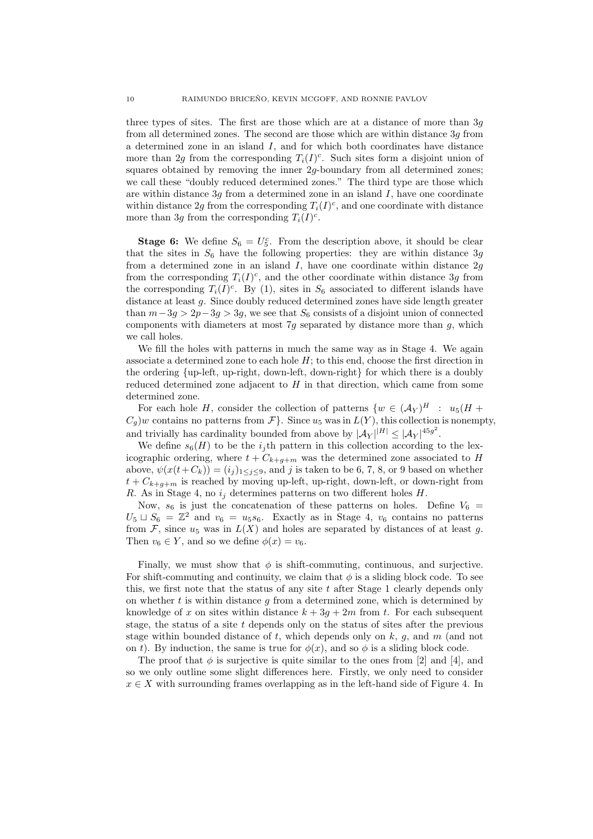three types of sites. The first are those which are at a distance of more than 3*g* from all determined zones. The second are those which are within distance 3*g* from a determined zone in an island *I*, and for which both coordinates have distance more than 2g from the corresponding  $T_i(I)^c$ . Such sites form a disjoint union of squares obtained by removing the inner  $2q$ -boundary from all determined zones; we call these "doubly reduced determined zones." The third type are those which are within distance 3*g* from a determined zone in an island *I*, have one coordinate within distance 2g from the corresponding  $T_i(I)^c$ , and one coordinate with distance more than 3*g* from the corresponding  $T_i(I)^c$ .

**Stage 6:** We define  $S_6 = U_5^c$ . From the description above, it should be clear that the sites in  $S_6$  have the following properties: they are within distance 3g from a determined zone in an island *I*, have one coordinate within distance 2*g* from the corresponding  $T_i(I)^c$ , and the other coordinate within distance 3g from the corresponding  $T_i(I)^c$ . By (1), sites in  $S_6$  associated to different islands have distance at least *g*. Since doubly reduced determined zones have side length greater than  $m-3g > 2p-3g > 3g$ , we see that  $S_6$  consists of a disjoint union of connected components with diameters at most 7*g* separated by distance more than *g*, which we call holes.

We fill the holes with patterns in much the same way as in Stage 4. We again associate a determined zone to each hole *H*; to this end, choose the first direction in the ordering *{*up-left, up-right, down-left, down-right*}* for which there is a doubly reduced determined zone adjacent to  $H$  in that direction, which came from some determined zone.

For each hole *H*, consider the collection of patterns  $\{w \in (\mathcal{A}_Y)^H : u_5(H +$  $C_q$ )*w* contains no patterns from  $\mathcal{F}\}$ . Since  $u_5$  was in  $L(Y)$ , this collection is nonempty, and trivially has cardinality bounded from above by  $|\mathcal{A}_Y|^{|H|} \leq |\mathcal{A}_Y|^{45g^2}$ .

We define  $s_6(H)$  to be the *i*<sub>j</sub>th pattern in this collection according to the lexicographic ordering, where  $t + C_{k+g+m}$  was the determined zone associated to *H* above,  $\psi(x(t+C_k)) = (i_j)_{1 \leq j \leq 9}$ , and *j* is taken to be 6, 7, 8, or 9 based on whether  $t + C_{k+q+m}$  is reached by moving up-left, up-right, down-left, or down-right from *R*. As in Stage 4, no *i<sup>j</sup>* determines patterns on two different holes *H*.

Now,  $s_6$  is just the concatenation of these patterns on holes. Define  $V_6$  =  $U_5 \sqcup S_6 = \mathbb{Z}^2$  and  $v_6 = u_5 s_6$ . Exactly as in Stage 4,  $v_6$  contains no patterns from  $\mathcal F$ , since  $u_5$  was in  $L(X)$  and holes are separated by distances of at least *g*. Then  $v_6 \in Y$ , and so we define  $\phi(x) = v_6$ .

Finally, we must show that  $\phi$  is shift-commuting, continuous, and surjective. For shift-commuting and continuity, we claim that  $\phi$  is a sliding block code. To see this, we first note that the status of any site *t* after Stage 1 clearly depends only on whether *t* is within distance *g* from a determined zone, which is determined by knowledge of x on sites within distance  $k + 3g + 2m$  from t. For each subsequent stage, the status of a site *t* depends only on the status of sites after the previous stage within bounded distance of *t*, which depends only on *k*, *g*, and *m* (and not on *t*). By induction, the same is true for  $\phi(x)$ , and so  $\phi$  is a sliding block code.

The proof that  $\phi$  is surjective is quite similar to the ones from [2] and [4], and so we only outline some slight differences here. Firstly, we only need to consider  $x \in X$  with surrounding frames overlapping as in the left-hand side of Figure 4. In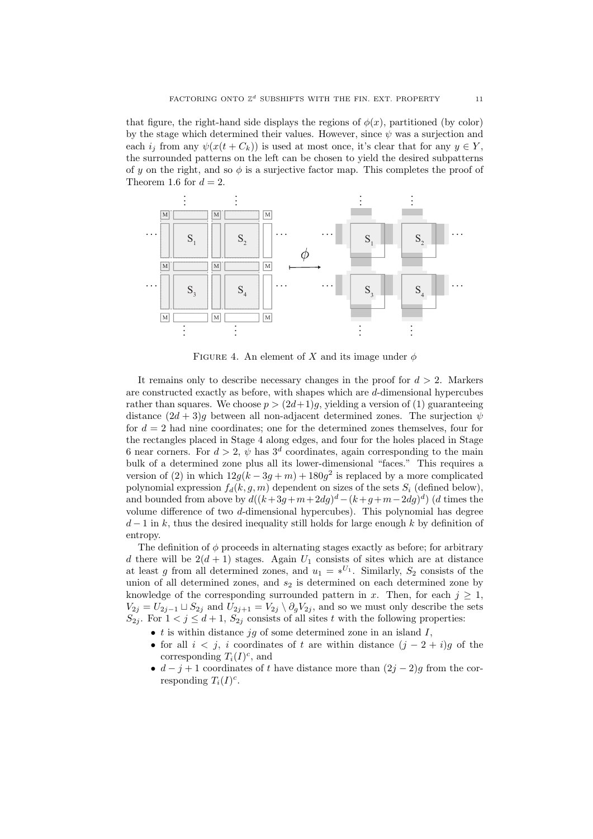that figure, the right-hand side displays the regions of  $\phi(x)$ , partitioned (by color) by the stage which determined their values. However, since  $\psi$  was a surjection and each  $i_j$  from any  $\psi(x(t+C_k))$  is used at most once, it's clear that for any  $y \in Y$ , the surrounded patterns on the left can be chosen to yield the desired subpatterns of *y* on the right, and so  $\phi$  is a surjective factor map. This completes the proof of Theorem 1.6 for  $d = 2$ .



FIGURE 4. An element of *X* and its image under  $\phi$ 

It remains only to describe necessary changes in the proof for  $d > 2$ . Markers are constructed exactly as before, with shapes which are *d*-dimensional hypercubes rather than squares. We choose  $p > (2d+1)g$ , yielding a version of (1) guaranteeing distance  $(2d + 3)q$  between all non-adjacent determined zones. The surjection  $\psi$ for  $d = 2$  had nine coordinates; one for the determined zones themselves, four for the rectangles placed in Stage 4 along edges, and four for the holes placed in Stage 6 near corners. For  $d > 2$ ,  $\psi$  has  $3^d$  coordinates, again corresponding to the main bulk of a determined zone plus all its lower-dimensional "faces." This requires a version of (2) in which  $12g(k-3g+m)+180g^2$  is replaced by a more complicated polynomial expression  $f_d(k, g, m)$  dependent on sizes of the sets  $S_i$  (defined below), and bounded from above by  $d((k+3g+m+2dg)^d-(k+g+m-2dg)^d)$  (*d* times the volume difference of two *d*-dimensional hypercubes). This polynomial has degree *d* − 1 in *k*, thus the desired inequality still holds for large enough *k* by definition of entropy.

The definition of *ϕ* proceeds in alternating stages exactly as before; for arbitrary *d* there will be  $2(d+1)$  stages. Again  $U_1$  consists of sites which are at distance at least *g* from all determined zones, and  $u_1 = *^{U_1}$ . Similarly,  $S_2$  consists of the union of all determined zones, and  $s_2$  is determined on each determined zone by knowledge of the corresponding surrounded pattern in *x*. Then, for each  $j \geq 1$ , *V*<sub>2*j*</sub> = *U*<sub>2*j*</sub><sup>−</sup>1 ⊥ *S*<sub>2*j*</sub> and *U*<sub>2*j*+1</sub> = *V*<sub>2</sub>*j*  $\setminus \partial_g V_{2j}$ , and so we must only describe the sets  $S_{2j}$ . For  $1 < j \leq d+1$ ,  $S_{2j}$  consists of all sites *t* with the following properties:

- *• t* is within distance *jg* of some determined zone in an island *I*,
- *•* for all *i < j*, *i* coordinates of *t* are within distance (*j −* 2 + *i*)*g* of the corresponding  $T_i(I)^c$ , and
- $d j + 1$  coordinates of *t* have distance more than  $(2j 2)g$  from the corresponding  $T_i(I)^c$ .